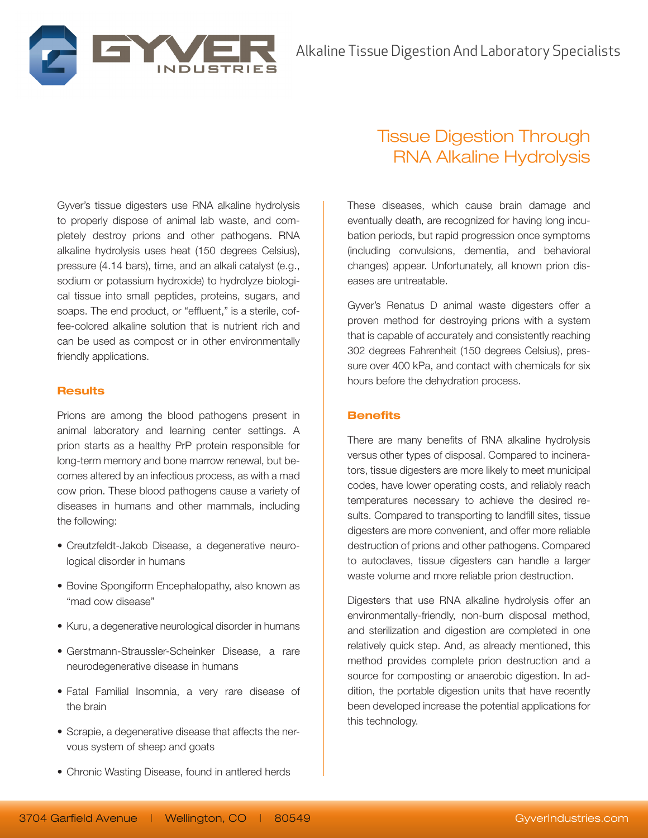

Gyver's tissue digesters use RNA alkaline hydrolysis to properly dispose of animal lab waste, and completely destroy prions and other pathogens. RNA alkaline hydrolysis uses heat (150 degrees Celsius), pressure (4.14 bars), time, and an alkali catalyst (e.g., sodium or potassium hydroxide) to hydrolyze biological tissue into small peptides, proteins, sugars, and soaps. The end product, or "effluent," is a sterile, coffee-colored alkaline solution that is nutrient rich and can be used as compost or in other environmentally friendly applications.

### **Results**

Prions are among the blood pathogens present in animal laboratory and learning center settings. A prion starts as a healthy PrP protein responsible for long-term memory and bone marrow renewal, but becomes altered by an infectious process, as with a mad cow prion. These blood pathogens cause a variety of diseases in humans and other mammals, including the following:

- • Creutzfeldt-Jakob Disease, a degenerative neurological disorder in humans
- Bovine Spongiform Encephalopathy, also known as "mad cow disease"
- Kuru, a degenerative neurological disorder in humans
- • Gerstmann-Straussler-Scheinker Disease, a rare neurodegenerative disease in humans
- • Fatal Familial Insomnia, a very rare disease of the brain
- Scrapie, a degenerative disease that affects the nervous system of sheep and goats
- Chronic Wasting Disease, found in antlered herds

# Tissue Digestion Through RNA Alkaline Hydrolysis

These diseases, which cause brain damage and eventually death, are recognized for having long incubation periods, but rapid progression once symptoms (including convulsions, dementia, and behavioral changes) appear. Unfortunately, all known prion diseases are untreatable.

Gyver's Renatus D animal waste digesters offer a proven method for destroying prions with a system that is capable of accurately and consistently reaching 302 degrees Fahrenheit (150 degrees Celsius), pressure over 400 kPa, and contact with chemicals for six hours before the dehydration process.

# **Benefits**

There are many benefits of RNA alkaline hydrolysis versus other types of disposal. Compared to incinerators, tissue digesters are more likely to meet municipal codes, have lower operating costs, and reliably reach temperatures necessary to achieve the desired results. Compared to transporting to landfill sites, tissue digesters are more convenient, and offer more reliable destruction of prions and other pathogens. Compared to autoclaves, tissue digesters can handle a larger waste volume and more reliable prion destruction.

Digesters that use RNA alkaline hydrolysis offer an environmentally-friendly, non-burn disposal method, and sterilization and digestion are completed in one relatively quick step. And, as already mentioned, this method provides complete prion destruction and a source for composting or anaerobic digestion. In addition, the portable digestion units that have recently been developed increase the potential applications for this technology.